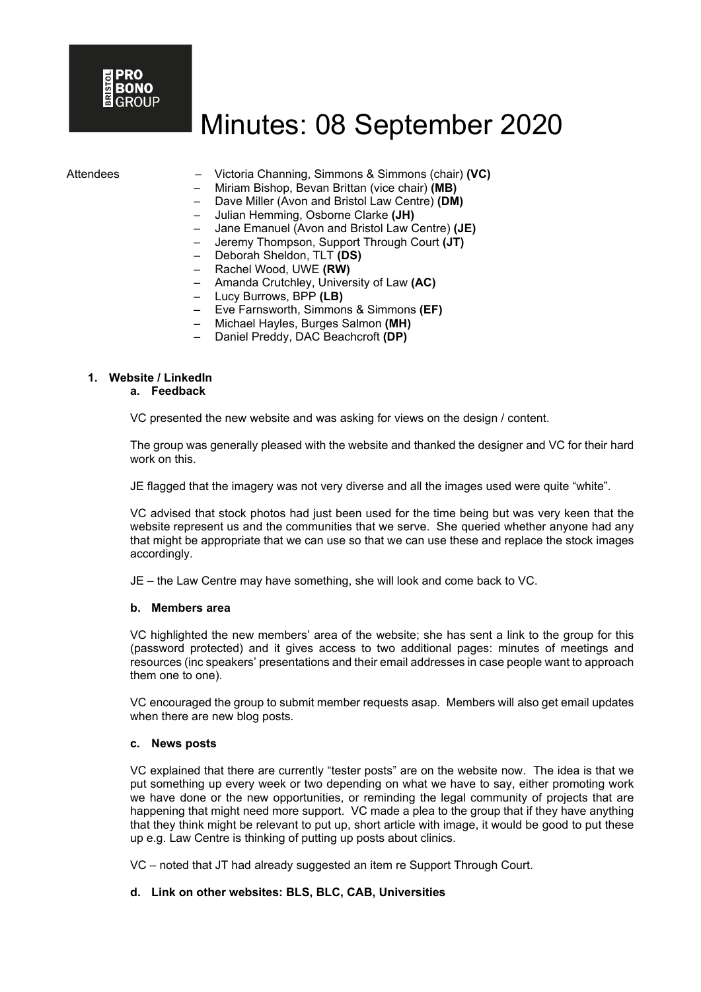- Attendees Victoria Channing, Simmons & Simmons (chair) **(VC)**
	- Miriam Bishop, Bevan Brittan (vice chair) **(MB)**
	- Dave Miller (Avon and Bristol Law Centre) **(DM)**
	- Julian Hemming, Osborne Clarke **(JH)**
	- Jane Emanuel (Avon and Bristol Law Centre) **(JE)**
	- Jeremy Thompson, Support Through Court **(JT)**
	- Deborah Sheldon, TLT **(DS)**
	- Rachel Wood, UWE **(RW)**
	- Amanda Crutchley, University of Law **(AC)**
	- Lucy Burrows, BPP **(LB)**
	- Eve Farnsworth, Simmons & Simmons **(EF)**
	- Michael Hayles, Burges Salmon **(MH)**
	- Daniel Preddy, DAC Beachcroft **(DP)**

# **1. Website / LinkedIn**

#### **a. Feedback**

VC presented the new website and was asking for views on the design / content.

The group was generally pleased with the website and thanked the designer and VC for their hard work on this.

JE flagged that the imagery was not very diverse and all the images used were quite "white".

VC advised that stock photos had just been used for the time being but was very keen that the website represent us and the communities that we serve. She queried whether anyone had any that might be appropriate that we can use so that we can use these and replace the stock images accordingly.

JE – the Law Centre may have something, she will look and come back to VC.

#### **b. Members area**

VC highlighted the new members' area of the website; she has sent a link to the group for this (password protected) and it gives access to two additional pages: minutes of meetings and resources (inc speakers' presentations and their email addresses in case people want to approach them one to one).

VC encouraged the group to submit member requests asap. Members will also get email updates when there are new blog posts.

#### **c. News posts**

VC explained that there are currently "tester posts" are on the website now. The idea is that we put something up every week or two depending on what we have to say, either promoting work we have done or the new opportunities, or reminding the legal community of projects that are happening that might need more support. VC made a plea to the group that if they have anything that they think might be relevant to put up, short article with image, it would be good to put these up e.g. Law Centre is thinking of putting up posts about clinics.

VC – noted that JT had already suggested an item re Support Through Court.

#### **d. Link on other websites: BLS, BLC, CAB, Universities**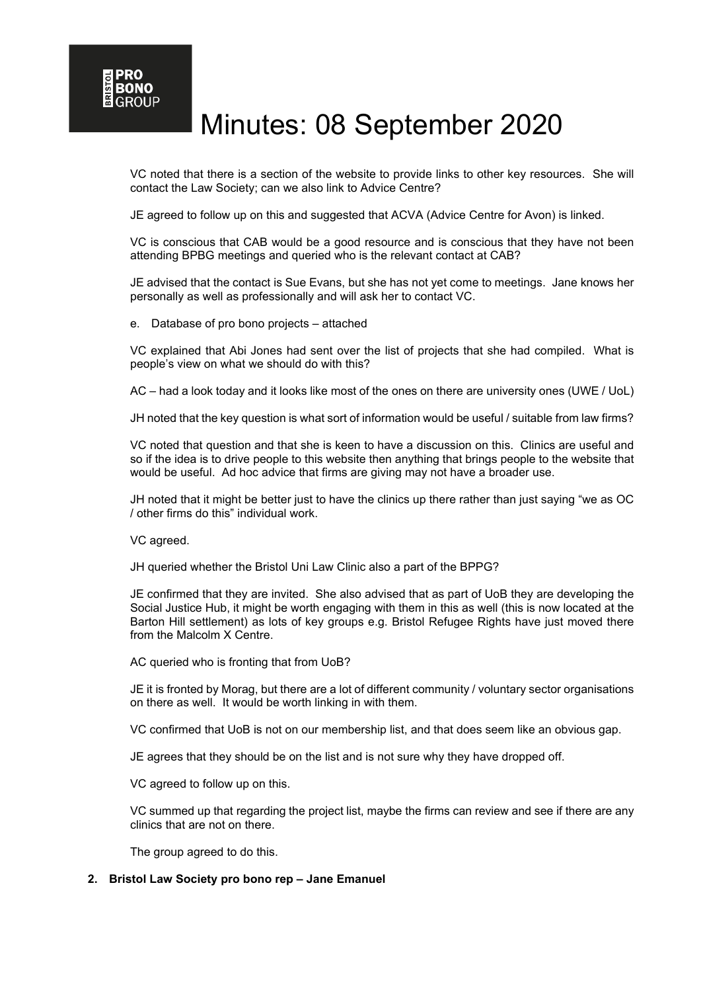VC noted that there is a section of the website to provide links to other key resources. She will contact the Law Society; can we also link to Advice Centre?

JE agreed to follow up on this and suggested that ACVA (Advice Centre for Avon) is linked.

VC is conscious that CAB would be a good resource and is conscious that they have not been attending BPBG meetings and queried who is the relevant contact at CAB?

JE advised that the contact is Sue Evans, but she has not yet come to meetings. Jane knows her personally as well as professionally and will ask her to contact VC.

e. Database of pro bono projects – attached

VC explained that Abi Jones had sent over the list of projects that she had compiled. What is people's view on what we should do with this?

AC – had a look today and it looks like most of the ones on there are university ones (UWE / UoL)

JH noted that the key question is what sort of information would be useful / suitable from law firms?

VC noted that question and that she is keen to have a discussion on this. Clinics are useful and so if the idea is to drive people to this website then anything that brings people to the website that would be useful. Ad hoc advice that firms are giving may not have a broader use.

JH noted that it might be better just to have the clinics up there rather than just saying "we as OC / other firms do this" individual work.

VC agreed.

JH queried whether the Bristol Uni Law Clinic also a part of the BPPG?

JE confirmed that they are invited. She also advised that as part of UoB they are developing the Social Justice Hub, it might be worth engaging with them in this as well (this is now located at the Barton Hill settlement) as lots of key groups e.g. Bristol Refugee Rights have just moved there from the Malcolm X Centre.

AC queried who is fronting that from UoB?

JE it is fronted by Morag, but there are a lot of different community / voluntary sector organisations on there as well. It would be worth linking in with them.

VC confirmed that UoB is not on our membership list, and that does seem like an obvious gap.

JE agrees that they should be on the list and is not sure why they have dropped off.

VC agreed to follow up on this.

VC summed up that regarding the project list, maybe the firms can review and see if there are any clinics that are not on there.

The group agreed to do this.

#### **2. Bristol Law Society pro bono rep – Jane Emanuel**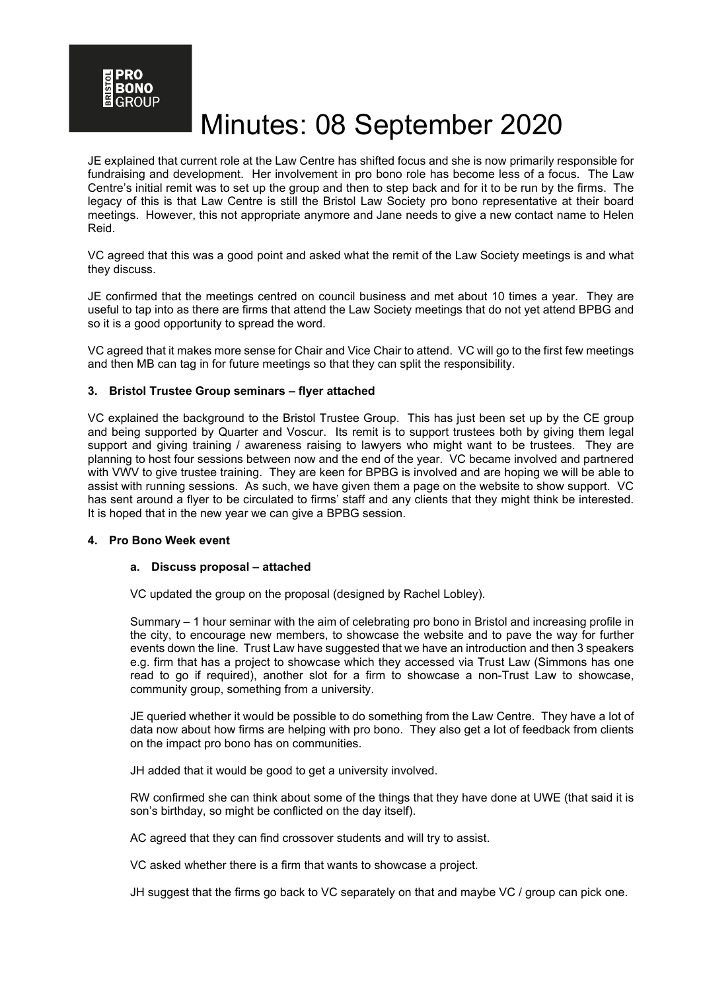RONO

# Minutes: 08 September 2020

JE explained that current role at the Law Centre has shifted focus and she is now primarily responsible for fundraising and development. Her involvement in pro bono role has become less of a focus. The Law Centre's initial remit was to set up the group and then to step back and for it to be run by the firms. The legacy of this is that Law Centre is still the Bristol Law Society pro bono representative at their board meetings. However, this not appropriate anymore and Jane needs to give a new contact name to Helen Reid.

VC agreed that this was a good point and asked what the remit of the Law Society meetings is and what they discuss.

JE confirmed that the meetings centred on council business and met about 10 times a year. They are useful to tap into as there are firms that attend the Law Society meetings that do not yet attend BPBG and so it is a good opportunity to spread the word.

VC agreed that it makes more sense for Chair and Vice Chair to attend. VC will go to the first few meetings and then MB can tag in for future meetings so that they can split the responsibility.

### **3. Bristol Trustee Group seminars – flyer attached**

VC explained the background to the Bristol Trustee Group. This has just been set up by the CE group and being supported by Quarter and Voscur. Its remit is to support trustees both by giving them legal support and giving training / awareness raising to lawyers who might want to be trustees. They are planning to host four sessions between now and the end of the year. VC became involved and partnered with VWV to give trustee training. They are keen for BPBG is involved and are hoping we will be able to assist with running sessions. As such, we have given them a page on the website to show support. VC has sent around a flyer to be circulated to firms' staff and any clients that they might think be interested. It is hoped that in the new year we can give a BPBG session.

#### **4. Pro Bono Week event**

#### **a. Discuss proposal – attached**

VC updated the group on the proposal (designed by Rachel Lobley).

Summary – 1 hour seminar with the aim of celebrating pro bono in Bristol and increasing profile in the city, to encourage new members, to showcase the website and to pave the way for further events down the line. Trust Law have suggested that we have an introduction and then 3 speakers e.g. firm that has a project to showcase which they accessed via Trust Law (Simmons has one read to go if required), another slot for a firm to showcase a non-Trust Law to showcase, community group, something from a university.

JE queried whether it would be possible to do something from the Law Centre. They have a lot of data now about how firms are helping with pro bono. They also get a lot of feedback from clients on the impact pro bono has on communities.

JH added that it would be good to get a university involved.

RW confirmed she can think about some of the things that they have done at UWE (that said it is son's birthday, so might be conflicted on the day itself).

AC agreed that they can find crossover students and will try to assist.

VC asked whether there is a firm that wants to showcase a project.

JH suggest that the firms go back to VC separately on that and maybe VC / group can pick one.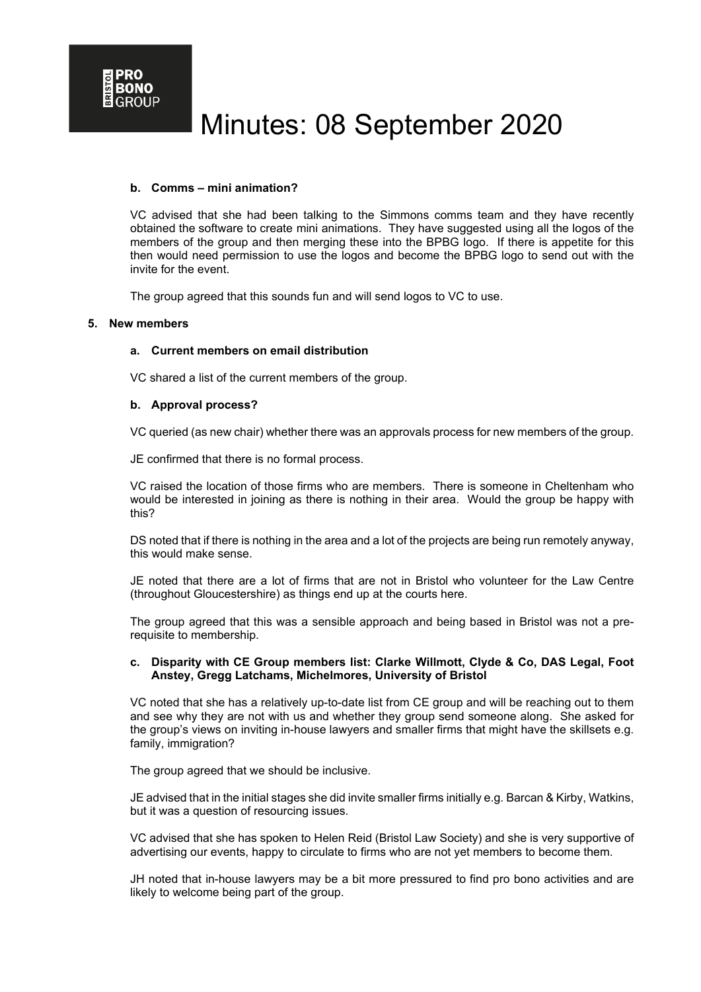### **b. Comms – mini animation?**

VC advised that she had been talking to the Simmons comms team and they have recently obtained the software to create mini animations. They have suggested using all the logos of the members of the group and then merging these into the BPBG logo. If there is appetite for this then would need permission to use the logos and become the BPBG logo to send out with the invite for the event.

The group agreed that this sounds fun and will send logos to VC to use.

#### **5. New members**

### **a. Current members on email distribution**

VC shared a list of the current members of the group.

### **b. Approval process?**

VC queried (as new chair) whether there was an approvals process for new members of the group.

JE confirmed that there is no formal process.

VC raised the location of those firms who are members. There is someone in Cheltenham who would be interested in joining as there is nothing in their area. Would the group be happy with this?

DS noted that if there is nothing in the area and a lot of the projects are being run remotely anyway, this would make sense.

JE noted that there are a lot of firms that are not in Bristol who volunteer for the Law Centre (throughout Gloucestershire) as things end up at the courts here.

The group agreed that this was a sensible approach and being based in Bristol was not a prerequisite to membership.

### **c. Disparity with CE Group members list: Clarke Willmott, Clyde & Co, DAS Legal, Foot Anstey, Gregg Latchams, Michelmores, University of Bristol**

VC noted that she has a relatively up-to-date list from CE group and will be reaching out to them and see why they are not with us and whether they group send someone along. She asked for the group's views on inviting in-house lawyers and smaller firms that might have the skillsets e.g. family, immigration?

The group agreed that we should be inclusive.

JE advised that in the initial stages she did invite smaller firms initially e.g. Barcan & Kirby, Watkins, but it was a question of resourcing issues.

VC advised that she has spoken to Helen Reid (Bristol Law Society) and she is very supportive of advertising our events, happy to circulate to firms who are not yet members to become them.

JH noted that in-house lawyers may be a bit more pressured to find pro bono activities and are likely to welcome being part of the group.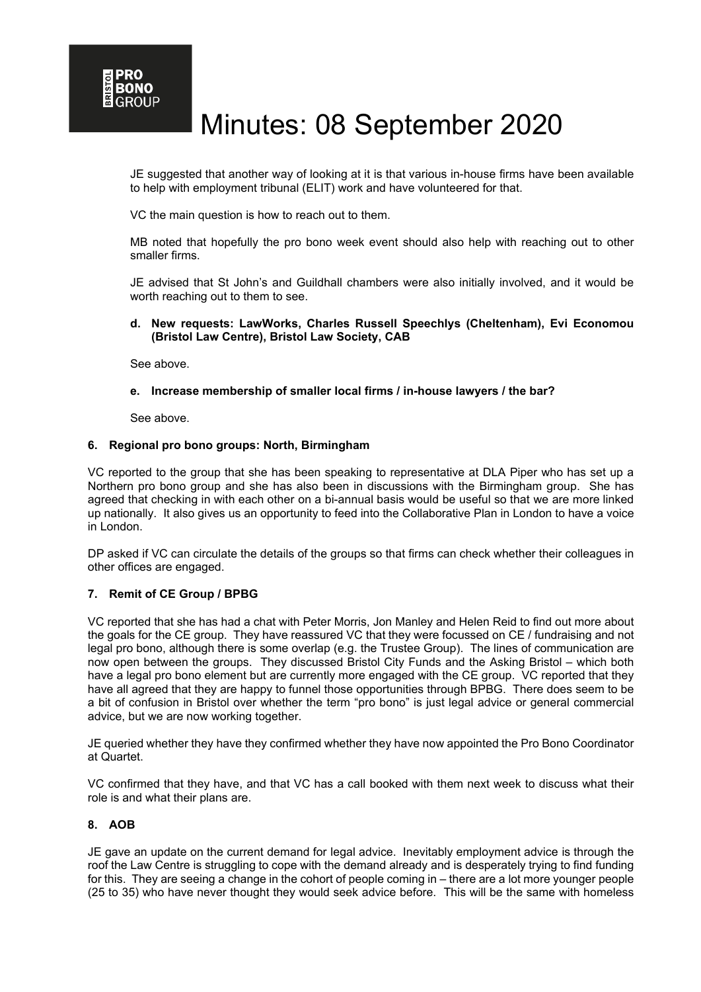JE suggested that another way of looking at it is that various in-house firms have been available to help with employment tribunal (ELIT) work and have volunteered for that.

VC the main question is how to reach out to them.

MB noted that hopefully the pro bono week event should also help with reaching out to other smaller firms.

JE advised that St John's and Guildhall chambers were also initially involved, and it would be worth reaching out to them to see.

### **d. New requests: LawWorks, Charles Russell Speechlys (Cheltenham), Evi Economou (Bristol Law Centre), Bristol Law Society, CAB**

See above.

# **e. Increase membership of smaller local firms / in-house lawyers / the bar?**

See above.

### **6. Regional pro bono groups: North, Birmingham**

VC reported to the group that she has been speaking to representative at DLA Piper who has set up a Northern pro bono group and she has also been in discussions with the Birmingham group. She has agreed that checking in with each other on a bi-annual basis would be useful so that we are more linked up nationally. It also gives us an opportunity to feed into the Collaborative Plan in London to have a voice in London.

DP asked if VC can circulate the details of the groups so that firms can check whether their colleagues in other offices are engaged.

# **7. Remit of CE Group / BPBG**

VC reported that she has had a chat with Peter Morris, Jon Manley and Helen Reid to find out more about the goals for the CE group. They have reassured VC that they were focussed on CE / fundraising and not legal pro bono, although there is some overlap (e.g. the Trustee Group). The lines of communication are now open between the groups. They discussed Bristol City Funds and the Asking Bristol – which both have a legal pro bono element but are currently more engaged with the CE group. VC reported that they have all agreed that they are happy to funnel those opportunities through BPBG. There does seem to be a bit of confusion in Bristol over whether the term "pro bono" is just legal advice or general commercial advice, but we are now working together.

JE queried whether they have they confirmed whether they have now appointed the Pro Bono Coordinator at Quartet.

VC confirmed that they have, and that VC has a call booked with them next week to discuss what their role is and what their plans are.

# **8. AOB**

JE gave an update on the current demand for legal advice. Inevitably employment advice is through the roof the Law Centre is struggling to cope with the demand already and is desperately trying to find funding for this. They are seeing a change in the cohort of people coming in – there are a lot more younger people (25 to 35) who have never thought they would seek advice before. This will be the same with homeless